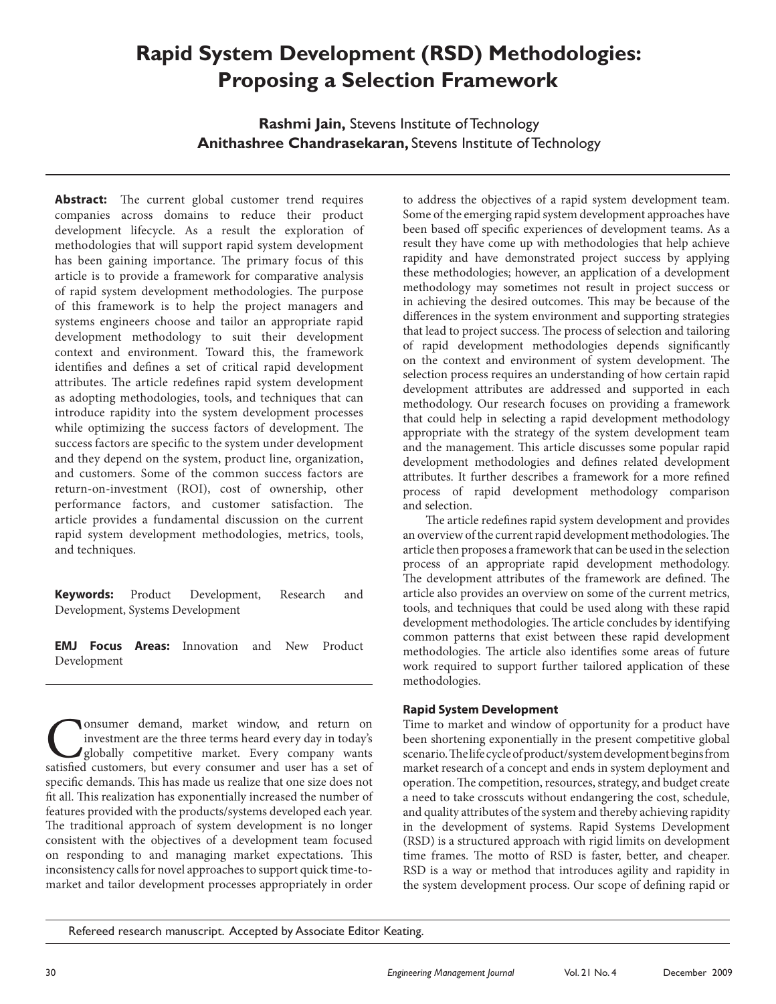# **Rapid System Development (RSD) Methodologies: Proposing a Selection Framework**

**Rashmi Jain,** Stevens Institute of Technology **Anithashree Chandrasekaran,** Stevens Institute of Technology

**Abstract:** The current global customer trend requires companies across domains to reduce their product development lifecycle. As a result the exploration of methodologies that will support rapid system development has been gaining importance. The primary focus of this article is to provide a framework for comparative analysis of rapid system development methodologies. The purpose of this framework is to help the project managers and systems engineers choose and tailor an appropriate rapid development methodology to suit their development context and environment. Toward this, the framework identifies and defines a set of critical rapid development attributes. The article redefines rapid system development as adopting methodologies, tools, and techniques that can introduce rapidity into the system development processes while optimizing the success factors of development. The success factors are specific to the system under development and they depend on the system, product line, organization, and customers. Some of the common success factors are return-on-investment (ROI), cost of ownership, other performance factors, and customer satisfaction. The article provides a fundamental discussion on the current rapid system development methodologies, metrics, tools, and techniques.

**Keywords:** Product Development, Research and Development, Systems Development

**EMJ Focus Areas:** Innovation and New Product Development

Consumer demand, market window, and return on investment are the three terms heard every day in today's globally competitive market. Every company wants satisfied customers, but every consumer and user has a set of investment are the three terms heard every day in today's globally competitive market. Every company wants satisfied customers, but every consumer and user has a set of specific demands. This has made us realize that one size does not fit all. This realization has exponentially increased the number of features provided with the products/systems developed each year. The traditional approach of system development is no longer consistent with the objectives of a development team focused on responding to and managing market expectations. This inconsistency calls for novel approaches to support quick time-tomarket and tailor development processes appropriately in order to address the objectives of a rapid system development team. Some of the emerging rapid system development approaches have been based off specific experiences of development teams. As a result they have come up with methodologies that help achieve rapidity and have demonstrated project success by applying these methodologies; however, an application of a development methodology may sometimes not result in project success or in achieving the desired outcomes. This may be because of the differences in the system environment and supporting strategies that lead to project success. The process of selection and tailoring of rapid development methodologies depends significantly on the context and environment of system development. The selection process requires an understanding of how certain rapid development attributes are addressed and supported in each methodology. Our research focuses on providing a framework that could help in selecting a rapid development methodology appropriate with the strategy of the system development team and the management. This article discusses some popular rapid development methodologies and defines related development attributes. It further describes a framework for a more refined process of rapid development methodology comparison and selection.

The article redefines rapid system development and provides an overview of the current rapid development methodologies. The article then proposes a framework that can be used in the selection process of an appropriate rapid development methodology. The development attributes of the framework are defined. The article also provides an overview on some of the current metrics, tools, and techniques that could be used along with these rapid development methodologies. The article concludes by identifying common patterns that exist between these rapid development methodologies. The article also identifies some areas of future work required to support further tailored application of these methodologies.

# **Rapid System Development**

Time to market and window of opportunity for a product have been shortening exponentially in the present competitive global scenario. The life cycle of product/system development begins from market research of a concept and ends in system deployment and operation. The competition, resources, strategy, and budget create a need to take crosscuts without endangering the cost, schedule, and quality attributes of the system and thereby achieving rapidity in the development of systems. Rapid Systems Development (RSD) is a structured approach with rigid limits on development time frames. The motto of RSD is faster, better, and cheaper. RSD is a way or method that introduces agility and rapidity in the system development process. Our scope of defining rapid or

Refereed research manuscript. Accepted by Associate Editor Keating.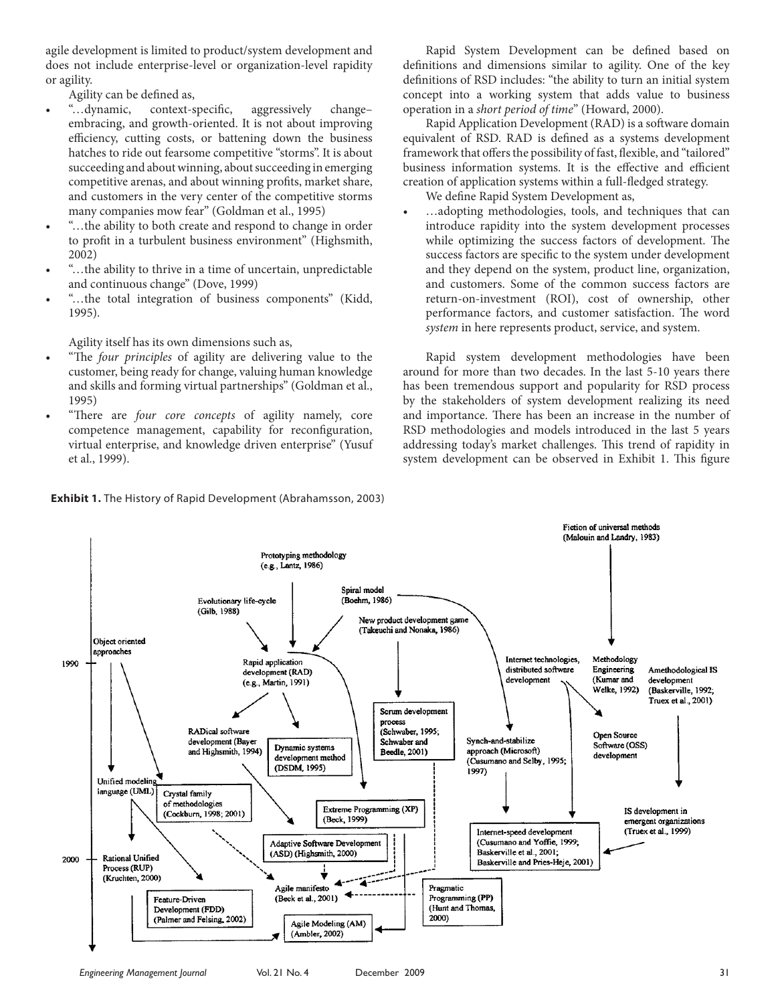agile development is limited to product/system development and does not include enterprise-level or organization-level rapidity or agility.

Agility can be defined as,

- • "…dynamic, context-specific, aggressively change– embracing, and growth-oriented. It is not about improving efficiency, cutting costs, or battening down the business hatches to ride out fearsome competitive "storms". It is about succeeding and about winning, about succeeding in emerging competitive arenas, and about winning profits, market share, and customers in the very center of the competitive storms many companies mow fear" (Goldman et al., 1995)
- "...the ability to both create and respond to change in order to profit in a turbulent business environment" (Highsmith, 2002)
- • "…the ability to thrive in a time of uncertain, unpredictable and continuous change" (Dove, 1999)
- "...the total integration of business components" (Kidd, 1995).

Agility itself has its own dimensions such as,

- "The *four principles* of agility are delivering value to the customer, being ready for change, valuing human knowledge and skills and forming virtual partnerships" (Goldman et al., 1995)
- "There are *four core concepts* of agility namely, core competence management, capability for reconfiguration, virtual enterprise, and knowledge driven enterprise" (Yusuf et al., 1999).

Rapid System Development can be defined based on definitions and dimensions similar to agility. One of the key definitions of RSD includes: "the ability to turn an initial system concept into a working system that adds value to business operation in a *short period of time*" (Howard, 2000).

Rapid Application Development (RAD) is a software domain equivalent of RSD. RAD is defined as a systems development framework that offers the possibility of fast, flexible, and "tailored" business information systems. It is the effective and efficient creation of application systems within a full-fledged strategy.

We define Rapid System Development as,

...adopting methodologies, tools, and techniques that can introduce rapidity into the system development processes while optimizing the success factors of development. The success factors are specific to the system under development and they depend on the system, product line, organization, and customers. Some of the common success factors are return-on-investment (ROI), cost of ownership, other performance factors, and customer satisfaction. The word *system* in here represents product, service, and system.

Rapid system development methodologies have been around for more than two decades. In the last 5-10 years there has been tremendous support and popularity for RSD process by the stakeholders of system development realizing its need and importance. There has been an increase in the number of RSD methodologies and models introduced in the last 5 years addressing today's market challenges. This trend of rapidity in system development can be observed in Exhibit 1. This figure



**Exhibit 1.** The History of Rapid Development (Abrahamsson, 2003)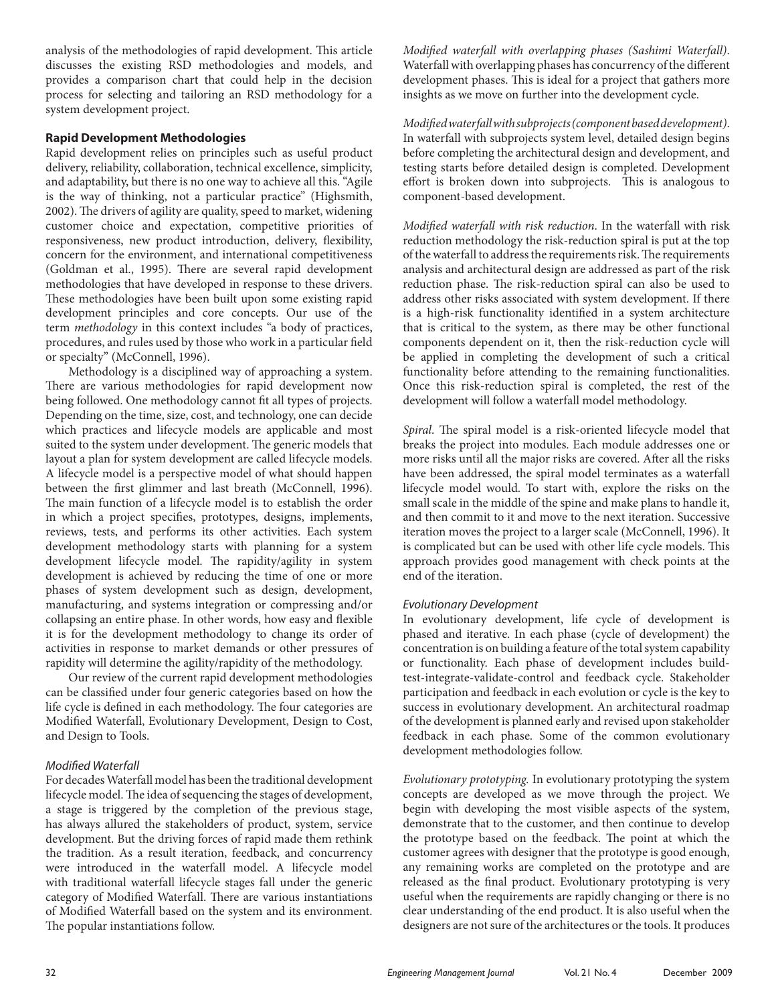analysis of the methodologies of rapid development. This article discusses the existing RSD methodologies and models, and provides a comparison chart that could help in the decision process for selecting and tailoring an RSD methodology for a system development project.

# **Rapid Development Methodologies**

Rapid development relies on principles such as useful product delivery, reliability, collaboration, technical excellence, simplicity, and adaptability, but there is no one way to achieve all this. "Agile is the way of thinking, not a particular practice" (Highsmith, 2002). The drivers of agility are quality, speed to market, widening customer choice and expectation, competitive priorities of responsiveness, new product introduction, delivery, flexibility, concern for the environment, and international competitiveness (Goldman et al., 1995). There are several rapid development methodologies that have developed in response to these drivers. These methodologies have been built upon some existing rapid development principles and core concepts. Our use of the term *methodology* in this context includes "a body of practices, procedures, and rules used by those who work in a particular field or specialty" (McConnell, 1996).

Methodology is a disciplined way of approaching a system. There are various methodologies for rapid development now being followed. One methodology cannot fit all types of projects. Depending on the time, size, cost, and technology, one can decide which practices and lifecycle models are applicable and most suited to the system under development. The generic models that layout a plan for system development are called lifecycle models. A lifecycle model is a perspective model of what should happen between the first glimmer and last breath (McConnell, 1996). The main function of a lifecycle model is to establish the order in which a project specifies, prototypes, designs, implements, reviews, tests, and performs its other activities. Each system development methodology starts with planning for a system development lifecycle model. The rapidity/agility in system development is achieved by reducing the time of one or more phases of system development such as design, development, manufacturing, and systems integration or compressing and/or collapsing an entire phase. In other words, how easy and flexible it is for the development methodology to change its order of activities in response to market demands or other pressures of rapidity will determine the agility/rapidity of the methodology.

Our review of the current rapid development methodologies can be classified under four generic categories based on how the life cycle is defined in each methodology. The four categories are Modified Waterfall, Evolutionary Development, Design to Cost, and Design to Tools.

# *Modified Waterfall*

For decades Waterfall model has been the traditional development lifecycle model. The idea of sequencing the stages of development, a stage is triggered by the completion of the previous stage, has always allured the stakeholders of product, system, service development. But the driving forces of rapid made them rethink the tradition. As a result iteration, feedback, and concurrency were introduced in the waterfall model. A lifecycle model with traditional waterfall lifecycle stages fall under the generic category of Modified Waterfall. There are various instantiations of Modified Waterfall based on the system and its environment. The popular instantiations follow.

*Modified waterfall with overlapping phases (Sashimi Waterfall)*. Waterfall with overlapping phases has concurrency of the different development phases. This is ideal for a project that gathers more insights as we move on further into the development cycle.

*Modified waterfall with subprojects (component based development)*. In waterfall with subprojects system level, detailed design begins before completing the architectural design and development, and testing starts before detailed design is completed. Development effort is broken down into subprojects. This is analogous to component-based development.

*Modified waterfall with risk reduction*. In the waterfall with risk reduction methodology the risk-reduction spiral is put at the top of the waterfall to address the requirements risk. The requirements analysis and architectural design are addressed as part of the risk reduction phase. The risk-reduction spiral can also be used to address other risks associated with system development. If there is a high-risk functionality identified in a system architecture that is critical to the system, as there may be other functional components dependent on it, then the risk-reduction cycle will be applied in completing the development of such a critical functionality before attending to the remaining functionalities. Once this risk-reduction spiral is completed, the rest of the development will follow a waterfall model methodology.

*Spiral*. The spiral model is a risk-oriented lifecycle model that breaks the project into modules. Each module addresses one or more risks until all the major risks are covered. After all the risks have been addressed, the spiral model terminates as a waterfall lifecycle model would. To start with, explore the risks on the small scale in the middle of the spine and make plans to handle it, and then commit to it and move to the next iteration. Successive iteration moves the project to a larger scale (McConnell, 1996). It is complicated but can be used with other life cycle models. This approach provides good management with check points at the end of the iteration.

# *Evolutionary Development*

In evolutionary development, life cycle of development is phased and iterative. In each phase (cycle of development) the concentration is on building a feature of the total system capability or functionality. Each phase of development includes buildtest-integrate-validate-control and feedback cycle. Stakeholder participation and feedback in each evolution or cycle is the key to success in evolutionary development. An architectural roadmap of the development is planned early and revised upon stakeholder feedback in each phase. Some of the common evolutionary development methodologies follow.

*Evolutionary prototyping.* In evolutionary prototyping the system concepts are developed as we move through the project. We begin with developing the most visible aspects of the system, demonstrate that to the customer, and then continue to develop the prototype based on the feedback. The point at which the customer agrees with designer that the prototype is good enough, any remaining works are completed on the prototype and are released as the final product. Evolutionary prototyping is very useful when the requirements are rapidly changing or there is no clear understanding of the end product. It is also useful when the designers are not sure of the architectures or the tools. It produces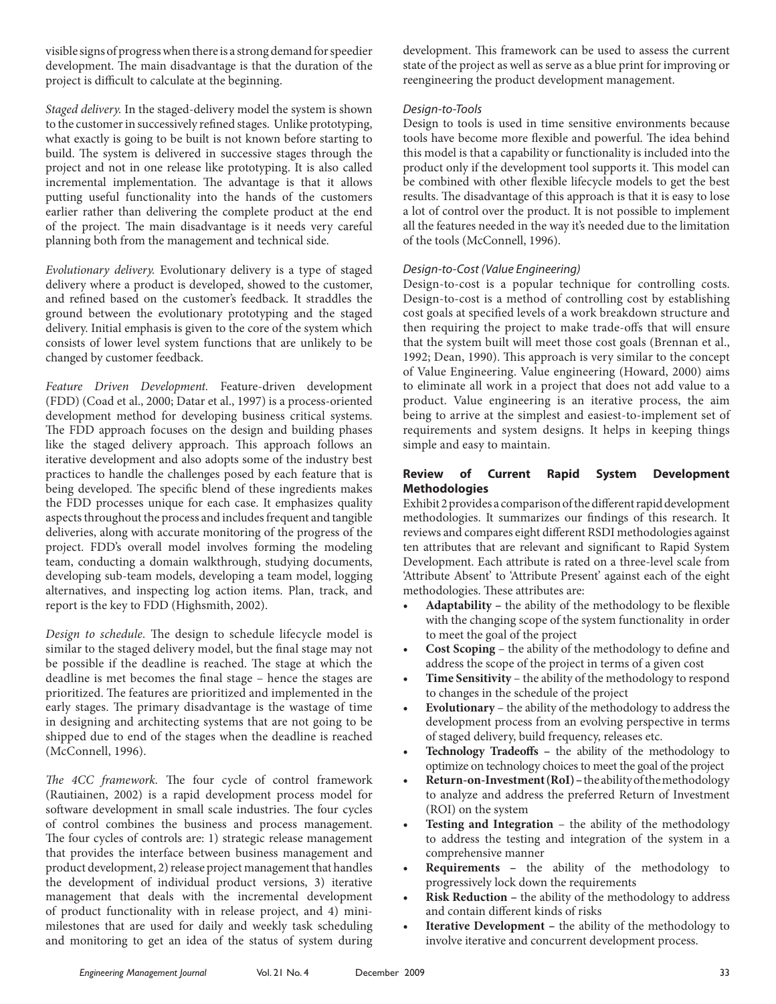visible signs of progress when there is a strong demand for speedier development. The main disadvantage is that the duration of the project is difficult to calculate at the beginning.

*Staged delivery.* In the staged-delivery model the system is shown to the customer in successively refined stages. Unlike prototyping, what exactly is going to be built is not known before starting to build. The system is delivered in successive stages through the project and not in one release like prototyping. It is also called incremental implementation. The advantage is that it allows putting useful functionality into the hands of the customers earlier rather than delivering the complete product at the end of the project. The main disadvantage is it needs very careful planning both from the management and technical side.

*Evolutionary delivery.* Evolutionary delivery is a type of staged delivery where a product is developed, showed to the customer, and refined based on the customer's feedback. It straddles the ground between the evolutionary prototyping and the staged delivery. Initial emphasis is given to the core of the system which consists of lower level system functions that are unlikely to be changed by customer feedback.

*Feature Driven Development.* Feature-driven development (FDD) (Coad et al., 2000; Datar et al., 1997) is a process-oriented development method for developing business critical systems. The FDD approach focuses on the design and building phases like the staged delivery approach. This approach follows an iterative development and also adopts some of the industry best practices to handle the challenges posed by each feature that is being developed. The specific blend of these ingredients makes the FDD processes unique for each case. It emphasizes quality aspects throughout the process and includes frequent and tangible deliveries, along with accurate monitoring of the progress of the project. FDD's overall model involves forming the modeling team, conducting a domain walkthrough, studying documents, developing sub-team models, developing a team model, logging alternatives, and inspecting log action items. Plan, track, and report is the key to FDD (Highsmith, 2002).

*Design to schedule.* The design to schedule lifecycle model is similar to the staged delivery model, but the final stage may not be possible if the deadline is reached. The stage at which the deadline is met becomes the final stage – hence the stages are prioritized. The features are prioritized and implemented in the early stages. The primary disadvantage is the wastage of time in designing and architecting systems that are not going to be shipped due to end of the stages when the deadline is reached (McConnell, 1996).

*The 4CC framework.* The four cycle of control framework (Rautiainen, 2002) is a rapid development process model for software development in small scale industries. The four cycles of control combines the business and process management. The four cycles of controls are: 1) strategic release management that provides the interface between business management and product development, 2) release project management that handles the development of individual product versions, 3) iterative management that deals with the incremental development of product functionality with in release project, and 4) minimilestones that are used for daily and weekly task scheduling and monitoring to get an idea of the status of system during development. This framework can be used to assess the current state of the project as well as serve as a blue print for improving or reengineering the product development management.

## *Design-to-Tools*

Design to tools is used in time sensitive environments because tools have become more flexible and powerful. The idea behind this model is that a capability or functionality is included into the product only if the development tool supports it. This model can be combined with other flexible lifecycle models to get the best results. The disadvantage of this approach is that it is easy to lose a lot of control over the product. It is not possible to implement all the features needed in the way it's needed due to the limitation of the tools (McConnell, 1996).

#### *Design-to-Cost (Value Engineering)*

Design-to-cost is a popular technique for controlling costs. Design-to-cost is a method of controlling cost by establishing cost goals at specified levels of a work breakdown structure and then requiring the project to make trade-offs that will ensure that the system built will meet those cost goals (Brennan et al., 1992; Dean, 1990). This approach is very similar to the concept of Value Engineering. Value engineering (Howard, 2000) aims to eliminate all work in a project that does not add value to a product. Value engineering is an iterative process, the aim being to arrive at the simplest and easiest-to-implement set of requirements and system designs. It helps in keeping things simple and easy to maintain.

## **Review of Current Rapid System Development Methodologies**

Exhibit 2 provides a comparison of the different rapid development methodologies. It summarizes our findings of this research. It reviews and compares eight different RSDI methodologies against ten attributes that are relevant and significant to Rapid System Development. Each attribute is rated on a three-level scale from 'Attribute Absent' to 'Attribute Present' against each of the eight methodologies. These attributes are:

- Adaptability the ability of the methodology to be flexible with the changing scope of the system functionality in order to meet the goal of the project
- **Cost Scoping** the ability of the methodology to define and address the scope of the project in terms of a given cost
- Time Sensitivity the ability of the methodology to respond to changes in the schedule of the project
- **Evolutionary** the ability of the methodology to address the development process from an evolving perspective in terms of staged delivery, build frequency, releases etc.
- Technology Tradeoffs the ability of the methodology to optimize on technology choices to meet the goal of the project
- Return-on-Investment (RoI) the ability of the methodology to analyze and address the preferred Return of Investment (ROI) on the system
- **Testing and Integration** the ability of the methodology to address the testing and integration of the system in a comprehensive manner
- **Requirements** the ability of the methodology to progressively lock down the requirements
- **Risk Reduction the ability of the methodology to address** and contain different kinds of risks
- **Iterative Development the ability of the methodology to** involve iterative and concurrent development process.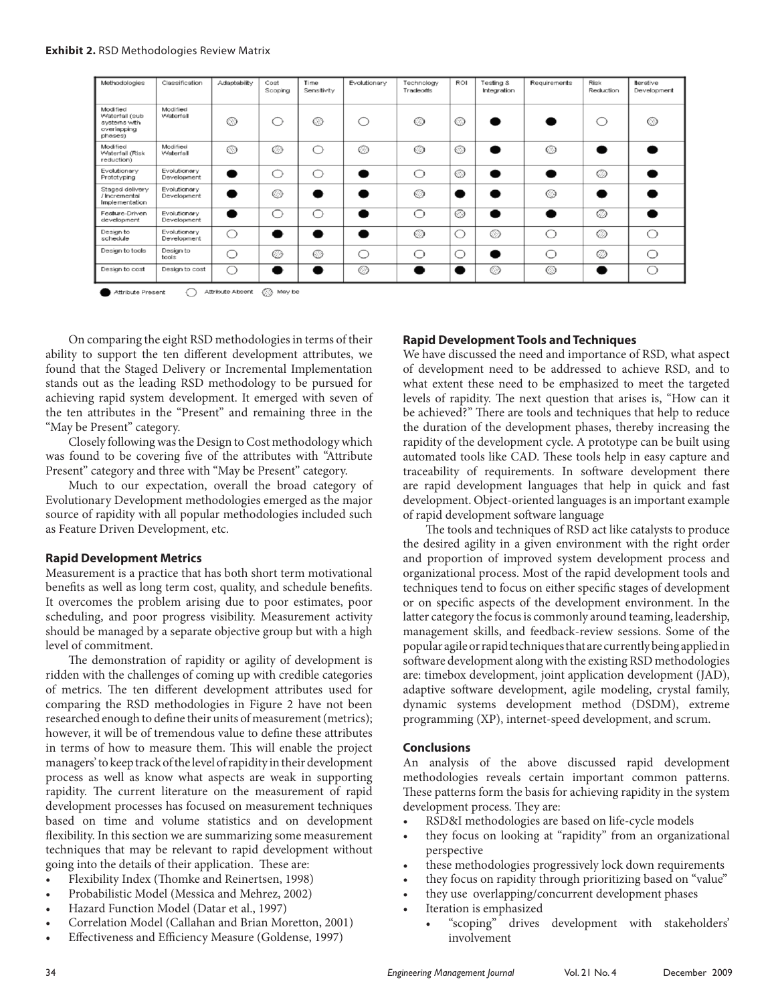| Methodologies                                                        | Classification              | Adaptability | Cost<br>Scoping | Time<br>Sensitivity | Evolutionary | Technology<br>Tradeoffs | ROI | Testing &<br>Integration | Requirements | Risk<br>Reduction | Iterative<br>Development |
|----------------------------------------------------------------------|-----------------------------|--------------|-----------------|---------------------|--------------|-------------------------|-----|--------------------------|--------------|-------------------|--------------------------|
| Modified<br>Waterfall (sub<br>systems with<br>overlapping<br>phases) | Modified<br>Waterfall       | ⊙            |                 | ⊙                   | ∩            | ◯                       | ⊙   |                          |              | . .               | ⊙                        |
| Modified<br>Waterfall (Risk<br>reduction)                            | Modified<br>Waterfall       | ∩            | ∩               | ∩                   | ◯            | ◯                       | ◯   | ●                        | $\bigcirc$   |                   |                          |
| Evolutionary<br>Prototyping                                          | Evolutionary<br>Development |              |                 | ∩                   |              | ∩                       | O   | ●                        |              | O                 |                          |
| Staged delivery<br>/ Incremental<br>Implementation                   | Evolutionary<br>Development |              | ◯               |                     |              | ◯                       |     |                          | ⊙            |                   |                          |
| Feature-Driven<br>development                                        | Evolutionary<br>Development |              |                 | ⌒                   |              | ∩                       | O   | ●                        |              | $\circ$           | $\bullet$                |
| Design to<br>schedule                                                | Evolutionary<br>Development |              |                 | n                   |              | $\bigcirc$              |     | $\bigcirc$               | ∩            | $\bigcirc$        | ∩                        |
| Design to tools                                                      | Design to<br>tools          |              | O               | $\bigcirc$          | ◯            | ∩                       |     |                          | ∩            | O                 | ∩                        |
| Design to cost                                                       | Design to cost              | ⌒            |                 |                     | $\bigcirc$   |                         |     | $\bigcirc$               | $\bigcirc$   |                   | ∩                        |

Attribute Absent @ May be Attribute Present

On comparing the eight RSD methodologies in terms of their ability to support the ten different development attributes, we found that the Staged Delivery or Incremental Implementation stands out as the leading RSD methodology to be pursued for achieving rapid system development. It emerged with seven of the ten attributes in the "Present" and remaining three in the "May be Present" category.

Closely following was the Design to Cost methodology which was found to be covering five of the attributes with "Attribute Present" category and three with "May be Present" category.

Much to our expectation, overall the broad category of Evolutionary Development methodologies emerged as the major source of rapidity with all popular methodologies included such as Feature Driven Development, etc.

#### **Rapid Development Metrics**

Measurement is a practice that has both short term motivational benefits as well as long term cost, quality, and schedule benefits. It overcomes the problem arising due to poor estimates, poor scheduling, and poor progress visibility. Measurement activity should be managed by a separate objective group but with a high level of commitment.

The demonstration of rapidity or agility of development is ridden with the challenges of coming up with credible categories of metrics. The ten different development attributes used for comparing the RSD methodologies in Figure 2 have not been researched enough to define their units of measurement (metrics); however, it will be of tremendous value to define these attributes in terms of how to measure them. This will enable the project managers' to keep track of the level of rapidity in their development process as well as know what aspects are weak in supporting rapidity. The current literature on the measurement of rapid development processes has focused on measurement techniques based on time and volume statistics and on development flexibility. In this section we are summarizing some measurement techniques that may be relevant to rapid development without going into the details of their application. These are:

• Flexibility Index (Thomke and Reinertsen, 1998)

- Probabilistic Model (Messica and Mehrez, 2002)
- Hazard Function Model (Datar et al., 1997)
- Correlation Model (Callahan and Brian Moretton, 2001)
- Effectiveness and Efficiency Measure (Goldense, 1997)

#### **Rapid Development Tools and Techniques**

We have discussed the need and importance of RSD, what aspect of development need to be addressed to achieve RSD, and to what extent these need to be emphasized to meet the targeted levels of rapidity. The next question that arises is, "How can it be achieved?" There are tools and techniques that help to reduce the duration of the development phases, thereby increasing the rapidity of the development cycle. A prototype can be built using automated tools like CAD. These tools help in easy capture and traceability of requirements. In software development there are rapid development languages that help in quick and fast development. Object-oriented languages is an important example of rapid development software language

The tools and techniques of RSD act like catalysts to produce the desired agility in a given environment with the right order and proportion of improved system development process and organizational process. Most of the rapid development tools and techniques tend to focus on either specific stages of development or on specific aspects of the development environment. In the latter category the focus is commonly around teaming, leadership, management skills, and feedback-review sessions. Some of the popular agile or rapid techniques that are currently being applied in software development along with the existing RSD methodologies are: timebox development, joint application development (JAD), adaptive software development, agile modeling, crystal family, dynamic systems development method (DSDM), extreme programming (XP), internet-speed development, and scrum.

#### **Conclusions**

An analysis of the above discussed rapid development methodologies reveals certain important common patterns. These patterns form the basis for achieving rapidity in the system development process. They are:

- • RSD&I methodologies are based on life-cycle models
- they focus on looking at "rapidity" from an organizational perspective
- these methodologies progressively lock down requirements
- they focus on rapidity through prioritizing based on "value"
- they use overlapping/concurrent development phases
- Iteration is emphasized
	- • "scoping" drives development with stakeholders' involvement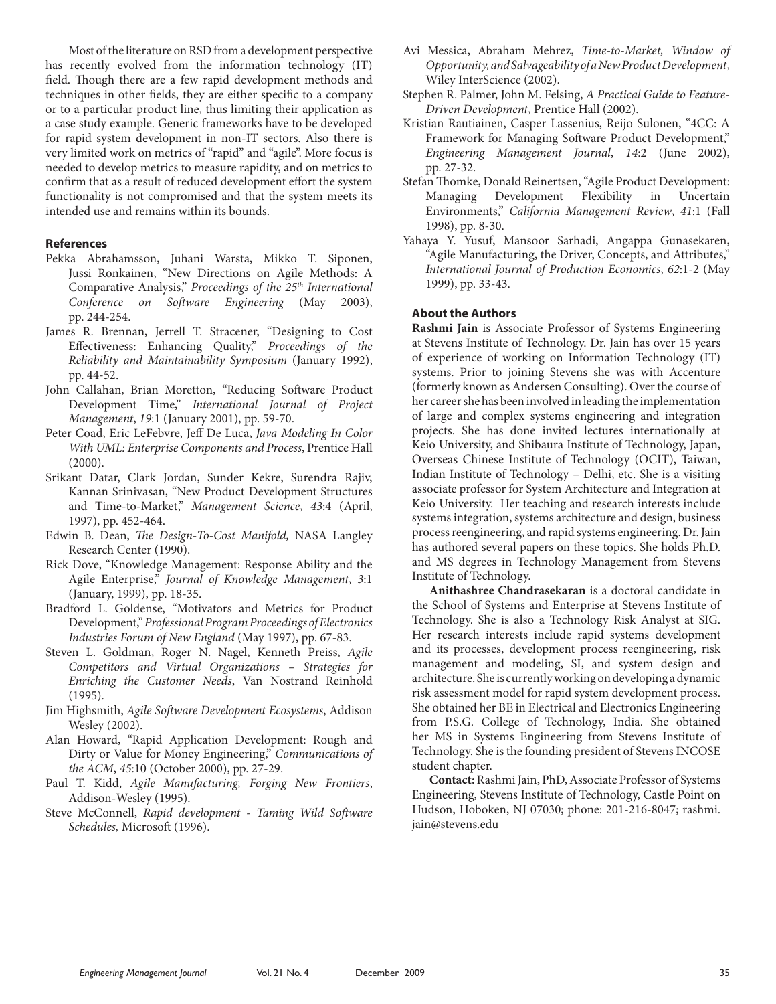a case study example. Generic frameworks have to be developed for rapid system development in non-IT sectors. Also there is very limited work on metrics of "rapid" and "agile". More focus is needed to develop metrics to measure rapidity, and on metrics to confirm that as a result of reduced development effort the system functionality is not compromised and that the system meets its intended use and remains within its bounds. **References** Pekka Abrahamsson, Juhani Warsta, Mikko T. Siponen,

Most of the literature on RSD from a development perspective has recently evolved from the information technology (IT) field. Though there are a few rapid development methods and techniques in other fields, they are either specific to a company or to a particular product line, thus limiting their application as

- Jussi Ronkainen, "New Directions on Agile Methods: A Comparative Analysis," *Proceedings of the 25th International Conference on Software Engineering* (May 2003), pp. 244-254.
- James R. Brennan, Jerrell T. Stracener, "Designing to Cost Effectiveness: Enhancing Quality," *Proceedings of the Reliability and Maintainability Symposium* (January 1992), pp. 44-52.
- John Callahan, Brian Moretton, "Reducing Software Product Development Time," *International Journal of Project Management*, *19*:1 (January 2001), pp. 59-70.
- Peter Coad, Eric LeFebvre, Jeff De Luca, *Java Modeling In Color With UML: Enterprise Components and Process*, Prentice Hall (2000).
- Srikant Datar, Clark Jordan, Sunder Kekre, Surendra Rajiv, Kannan Srinivasan, "New Product Development Structures and Time-to-Market," *Management Science*, *43*:4 (April, 1997), pp. 452-464.
- Edwin B. Dean, *The Design-To-Cost Manifold,* NASA Langley Research Center (1990).
- Rick Dove, "Knowledge Management: Response Ability and the Agile Enterprise," *Journal of Knowledge Management*, *3*:1 (January, 1999), pp. 18-35.
- Bradford L. Goldense, "Motivators and Metrics for Product Development," *Professional Program Proceedings of Electronics Industries Forum of New England* (May 1997), pp. 67-83.
- Steven L. Goldman, Roger N. Nagel, Kenneth Preiss, *Agile Competitors and Virtual Organizations – Strategies for Enriching the Customer Needs*, Van Nostrand Reinhold (1995).
- Jim Highsmith, *Agile Software Development Ecosystems*, Addison Wesley (2002).
- Alan Howard, "Rapid Application Development: Rough and Dirty or Value for Money Engineering," *Communications of the ACM*, *45*:10 (October 2000), pp. 27-29.
- Paul T. Kidd, *Agile Manufacturing, Forging New Frontiers*, Addison-Wesley (1995).
- Steve McConnell, *Rapid development Taming Wild Software Schedules,* Microsoft (1996).
- Avi Messica, Abraham Mehrez, *Time-to-Market, Window of Opportunity, and Salvageability of a New Product Development*, Wiley InterScience (2002).
- Stephen R. Palmer, John M. Felsing, *A Practical Guide to Feature-Driven Development*, Prentice Hall (2002).
- Kristian Rautiainen, Casper Lassenius, Reijo Sulonen, "4CC: A Framework for Managing Software Product Development," *Engineering Management Journal*, *14*:2 (June 2002), pp. 27-32.
- Stefan Thomke, Donald Reinertsen, "Agile Product Development: Managing Development Flexibility in Uncertain Environments," *California Management Review*, *41*:1 (Fall 1998), pp. 8-30.
- Yahaya Y. Yusuf, Mansoor Sarhadi, Angappa Gunasekaren, "Agile Manufacturing, the Driver, Concepts, and Attributes," *International Journal of Production Economics*, *62*:1-2 (May 1999), pp. 33-43.

# **About the Authors**

**Rashmi Jain** is Associate Professor of Systems Engineering at Stevens Institute of Technology. Dr. Jain has over 15 years of experience of working on Information Technology (IT) systems. Prior to joining Stevens she was with Accenture (formerly known as Andersen Consulting). Over the course of her career she has been involved in leading the implementation of large and complex systems engineering and integration projects. She has done invited lectures internationally at Keio University, and Shibaura Institute of Technology, Japan, Overseas Chinese Institute of Technology (OCIT), Taiwan, Indian Institute of Technology – Delhi, etc. She is a visiting associate professor for System Architecture and Integration at Keio University. Her teaching and research interests include systems integration, systems architecture and design, business process reengineering, and rapid systems engineering. Dr. Jain has authored several papers on these topics. She holds Ph.D. and MS degrees in Technology Management from Stevens Institute of Technology.

**Anithashree Chandrasekaran** is a doctoral candidate in the School of Systems and Enterprise at Stevens Institute of Technology. She is also a Technology Risk Analyst at SIG. Her research interests include rapid systems development and its processes, development process reengineering, risk management and modeling, SI, and system design and architecture. She is currently working on developing a dynamic risk assessment model for rapid system development process. She obtained her BE in Electrical and Electronics Engineering from P.S.G. College of Technology, India. She obtained her MS in Systems Engineering from Stevens Institute of Technology. She is the founding president of Stevens INCOSE student chapter.

**Contact:** Rashmi Jain, PhD, Associate Professor of Systems Engineering, Stevens Institute of Technology, Castle Point on Hudson, Hoboken, NJ 07030; phone: 201-216-8047; rashmi. jain@stevens.edu